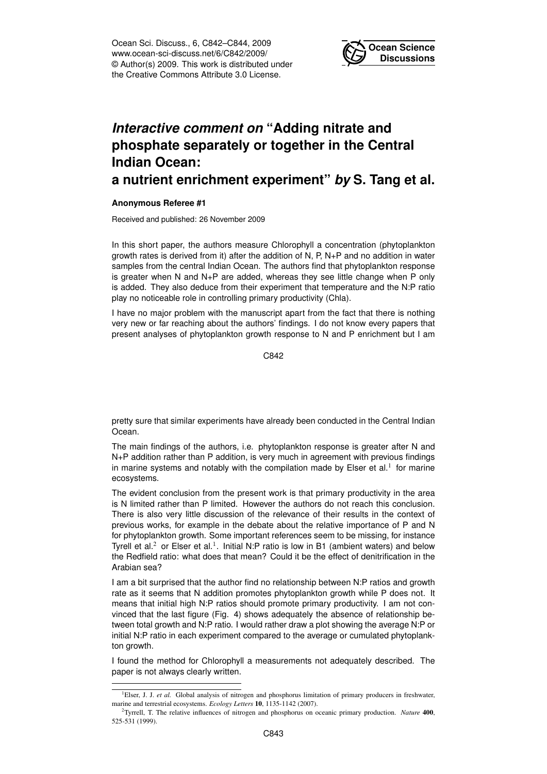Ocean Sci. Discuss., 6, C842–C844, 2009 www.ocean-sci-discuss.net/6/C842/2009/ © Author(s) 2009. This work is distributed under the Creative Commons Attribute 3.0 License.



## *Interactive comment on* **"Adding nitrate and phosphate separately or together in the Central Indian Ocean:**

## **a nutrient enrichment experiment"** *by* **S. Tang et al.**

## **Anonymous Referee #1**

Received and published: 26 November 2009

In this short paper, the authors measure Chlorophyll a concentration (phytoplankton growth rates is derived from it) after the addition of N, P, N+P and no addition in water samples from the central Indian Ocean. The authors find that phytoplankton response is greater when N and N+P are added, whereas they see little change when P only is added. They also deduce from their experiment that temperature and the N:P ratio play no noticeable role in controlling primary productivity (Chla).

I have no major problem with the manuscript apart from the fact that there is nothing very new or far reaching about the authors' findings. I do not know every papers that present analyses of phytoplankton growth response to N and P enrichment but I am

C842

pretty sure that similar experiments have already been conducted in the Central Indian Ocean.

The main findings of the authors, i.e. phytoplankton response is greater after N and N+P addition rather than P addition, is very much in agreement with previous findings in marine systems and notably with the compilation made by Elser et al.<sup>1</sup> for marine ecosystems.

The evident conclusion from the present work is that primary productivity in the area is N limited rather than P limited. However the authors do not reach this conclusion. There is also very little discussion of the relevance of their results in the context of previous works, for example in the debate about the relative importance of P and N for phytoplankton growth. Some important references seem to be missing, for instance Tyrell et al.<sup>2</sup> or Elser et al.<sup>1</sup>. Initial N:P ratio is low in B1 (ambient waters) and below the Redfield ratio: what does that mean? Could it be the effect of denitrification in the Arabian sea?

I am a bit surprised that the author find no relationship between N:P ratios and growth rate as it seems that N addition promotes phytoplankton growth while P does not. It means that initial high N:P ratios should promote primary productivity. I am not convinced that the last figure (Fig. 4) shows adequately the absence of relationship between total growth and N:P ratio. I would rather draw a plot showing the average N:P or initial N:P ratio in each experiment compared to the average or cumulated phytoplankton growth.

I found the method for Chlorophyll a measurements not adequately described. The paper is not always clearly written.

<sup>&</sup>lt;sup>1</sup>Elser, J. J. *et al.* Global analysis of nitrogen and phosphorus limitation of primary producers in freshwater, marine and terrestrial ecosystems. *Ecology Letters* 10, 1135-1142 (2007).

<sup>2</sup>Tyrrell, T. The relative influences of nitrogen and phosphorus on oceanic primary production. *Nature* 400, 525-531 (1999).